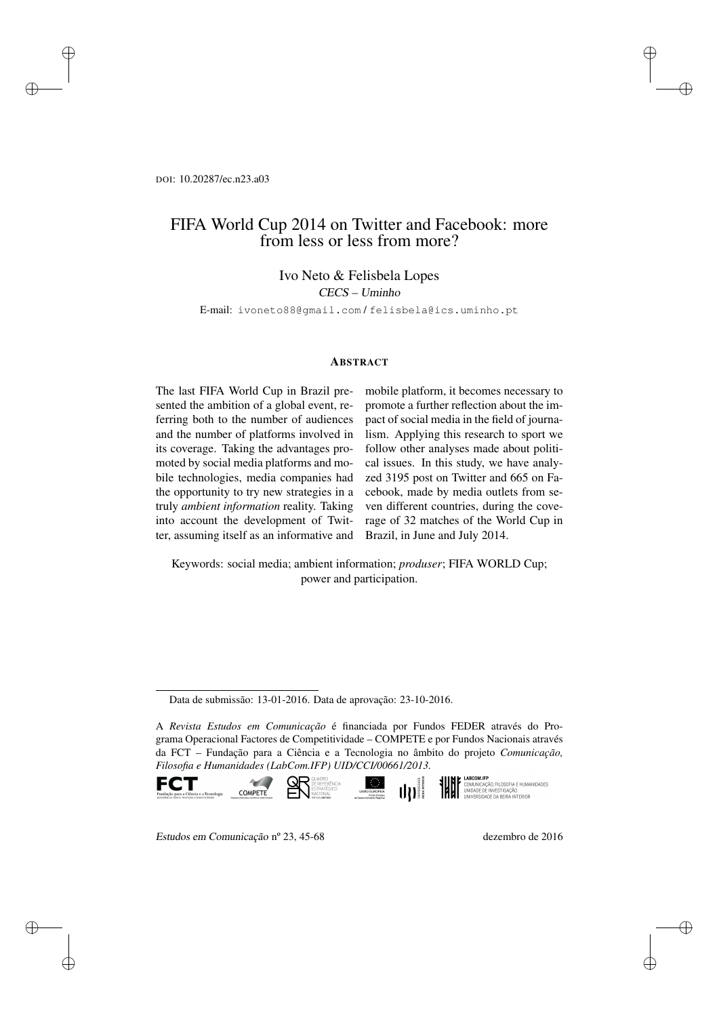DOI: 10.20287/ec.n23.a03

✐

✐

✐

✐

# FIFA World Cup 2014 on Twitter and Facebook: more from less or less from more?

### Ivo Neto & Felisbela Lopes

CECS – Uminho

E-mail: ivoneto88@gmail.com / felisbela@ics.uminho.pt

#### **ABSTRACT**

The last FIFA World Cup in Brazil presented the ambition of a global event, referring both to the number of audiences and the number of platforms involved in its coverage. Taking the advantages promoted by social media platforms and mobile technologies, media companies had the opportunity to try new strategies in a truly *ambient information* reality. Taking into account the development of Twitter, assuming itself as an informative and

mobile platform, it becomes necessary to promote a further reflection about the impact of social media in the field of journalism. Applying this research to sport we follow other analyses made about political issues. In this study, we have analyzed 3195 post on Twitter and 665 on Facebook, made by media outlets from seven different countries, during the coverage of 32 matches of the World Cup in Brazil, in June and July 2014.

✐

✐

✐

✐

Keywords: social media; ambient information; *produser*; FIFA WORLD Cup; power and participation.

A *Revista Estudos em Comunicação* é financiada por Fundos FEDER através do Programa Operacional Factores de Competitividade – COMPETE e por Fundos Nacionais através da FCT – Fundação para a Ciência e a Tecnologia no âmbito do projeto *Comunicação, Filosofia e Humanidades (LabCom.IFP) UID/CCI/00661/2013.*





**LABCOM.IFP**<br>COMUNICAÇÃO, FILOSOFIA E HUMANIDADES<br>UNIDADE DE INVESTIGAÇÃO<br>UNIVERSIDADE DA BEIRA INTERIOR

Estudos em Comunicação nº 23, 45-68 dezembro de 2016

COMPETE

Data de submissão: 13-01-2016. Data de aprovação: 23-10-2016.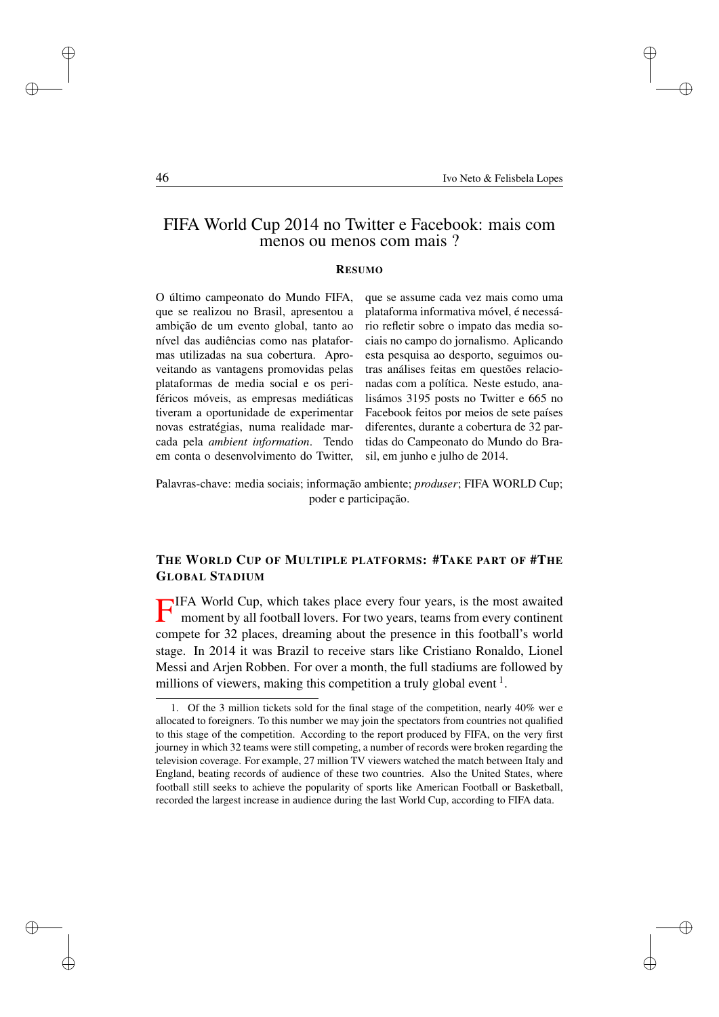✐

✐

✐

# FIFA World Cup 2014 no Twitter e Facebook: mais com menos ou menos com mais ?

#### RESUMO

O último campeonato do Mundo FIFA, que se realizou no Brasil, apresentou a ambição de um evento global, tanto ao nível das audiências como nas plataformas utilizadas na sua cobertura. Aproveitando as vantagens promovidas pelas plataformas de media social e os periféricos móveis, as empresas mediáticas tiveram a oportunidade de experimentar novas estratégias, numa realidade marcada pela *ambient information*. Tendo em conta o desenvolvimento do Twitter, que se assume cada vez mais como uma plataforma informativa móvel, é necessário refletir sobre o impato das media sociais no campo do jornalismo. Aplicando esta pesquisa ao desporto, seguimos outras análises feitas em questões relacionadas com a política. Neste estudo, analisámos 3195 posts no Twitter e 665 no Facebook feitos por meios de sete países diferentes, durante a cobertura de 32 partidas do Campeonato do Mundo do Brasil, em junho e julho de 2014.

Palavras-chave: media sociais; informação ambiente; *produser*; FIFA WORLD Cup; poder e participação.

## THE WORLD CUP OF MULTIPLE PLATFORMS: #TAKE PART OF #THE GLOBAL STADIUM

F IFA World Cup, which takes place every four years, is the most awaited moment by all football lovers. For two years, teams from every continent compete for 32 places, dreaming about the presence in this football's world stage. In 2014 it was Brazil to receive stars like Cristiano Ronaldo, Lionel Messi and Arjen Robben. For over a month, the full stadiums are followed by millions of viewers, making this competition a truly global event  $<sup>1</sup>$ .</sup>

✐

✐

✐

<sup>1.</sup> Of the 3 million tickets sold for the final stage of the competition, nearly 40% wer e allocated to foreigners. To this number we may join the spectators from countries not qualified to this stage of the competition. According to the report produced by FIFA, on the very first journey in which 32 teams were still competing, a number of records were broken regarding the television coverage. For example, 27 million TV viewers watched the match between Italy and England, beating records of audience of these two countries. Also the United States, where football still seeks to achieve the popularity of sports like American Football or Basketball, recorded the largest increase in audience during the last World Cup, according to FIFA data.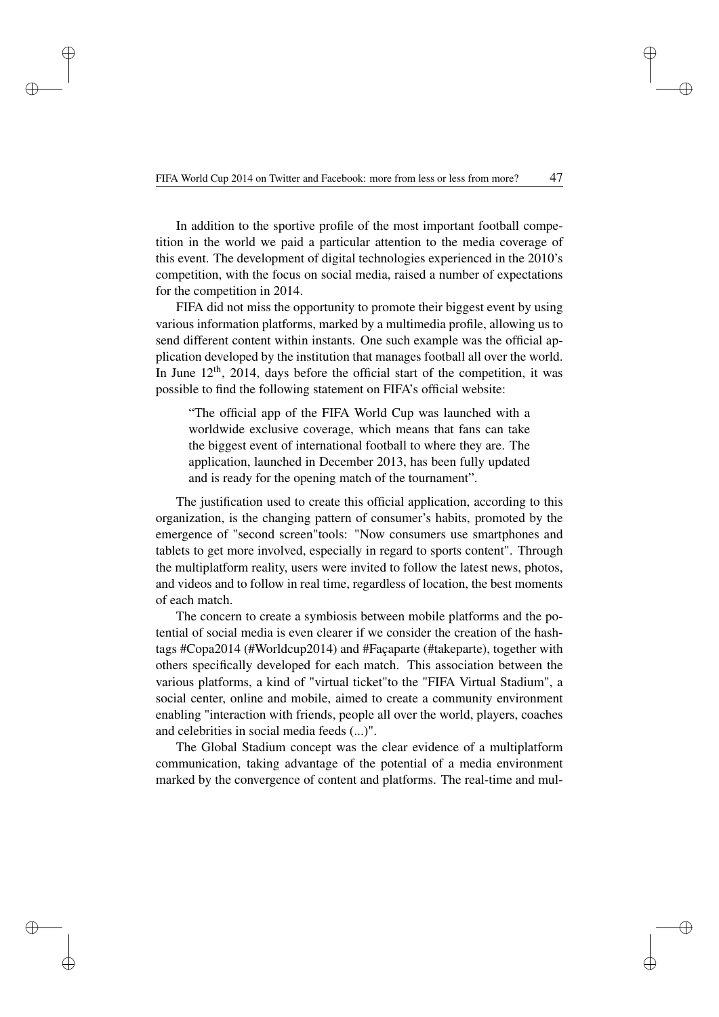✐

✐

✐

In addition to the sportive profile of the most important football competition in the world we paid a particular attention to the media coverage of this event. The development of digital technologies experienced in the 2010's competition, with the focus on social media, raised a number of expectations for the competition in 2014.

FIFA did not miss the opportunity to promote their biggest event by using various information platforms, marked by a multimedia profile, allowing us to send different content within instants. One such example was the official application developed by the institution that manages football all over the world. In June  $12<sup>th</sup>$ , 2014, days before the official start of the competition, it was possible to find the following statement on FIFA's official website:

"The official app of the FIFA World Cup was launched with a worldwide exclusive coverage, which means that fans can take the biggest event of international football to where they are. The application, launched in December 2013, has been fully updated and is ready for the opening match of the tournament".

The justification used to create this official application, according to this organization, is the changing pattern of consumer's habits, promoted by the emergence of "second screen"tools: "Now consumers use smartphones and tablets to get more involved, especially in regard to sports content". Through the multiplatform reality, users were invited to follow the latest news, photos, and videos and to follow in real time, regardless of location, the best moments of each match.

The concern to create a symbiosis between mobile platforms and the potential of social media is even clearer if we consider the creation of the hashtags #Copa2014 (#Worldcup2014) and #Façaparte (#takeparte), together with others specifically developed for each match. This association between the various platforms, a kind of "virtual ticket"to the "FIFA Virtual Stadium", a social center, online and mobile, aimed to create a community environment enabling "interaction with friends, people all over the world, players, coaches and celebrities in social media feeds (...)".

The Global Stadium concept was the clear evidence of a multiplatform communication, taking advantage of the potential of a media environment marked by the convergence of content and platforms. The real-time and mul✐

✐

✐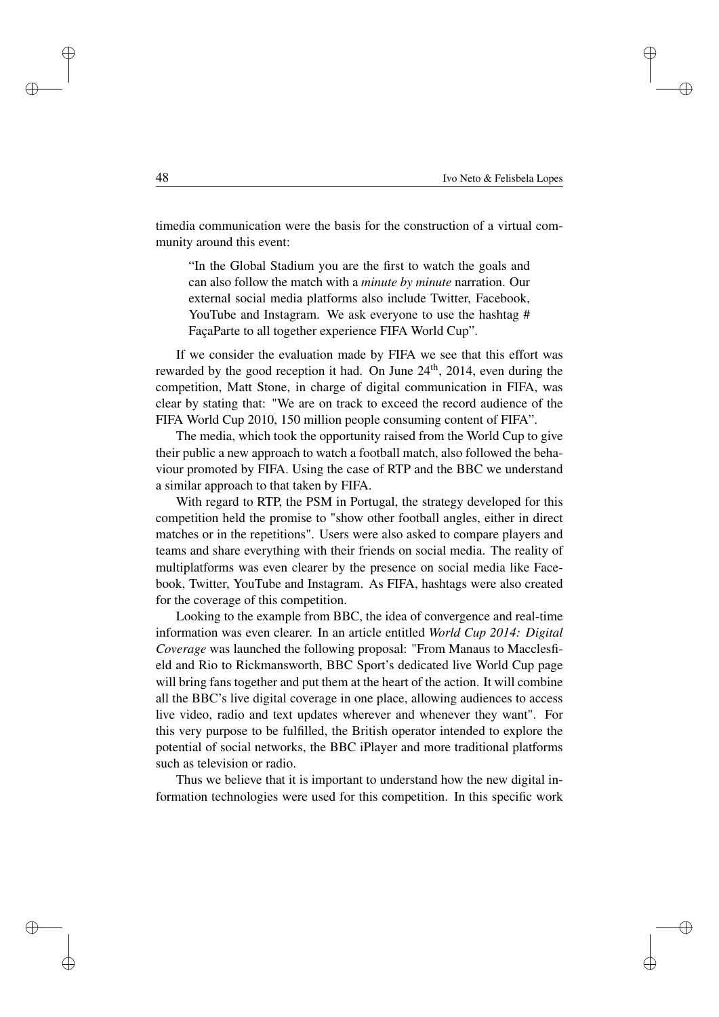✐

✐

✐

timedia communication were the basis for the construction of a virtual community around this event:

"In the Global Stadium you are the first to watch the goals and can also follow the match with a *minute by minute* narration. Our external social media platforms also include Twitter, Facebook, YouTube and Instagram. We ask everyone to use the hashtag # FaçaParte to all together experience FIFA World Cup".

If we consider the evaluation made by FIFA we see that this effort was rewarded by the good reception it had. On June  $24<sup>th</sup>$ ,  $2014$ , even during the competition, Matt Stone, in charge of digital communication in FIFA, was clear by stating that: "We are on track to exceed the record audience of the FIFA World Cup 2010, 150 million people consuming content of FIFA".

The media, which took the opportunity raised from the World Cup to give their public a new approach to watch a football match, also followed the behaviour promoted by FIFA. Using the case of RTP and the BBC we understand a similar approach to that taken by FIFA.

With regard to RTP, the PSM in Portugal, the strategy developed for this competition held the promise to "show other football angles, either in direct matches or in the repetitions". Users were also asked to compare players and teams and share everything with their friends on social media. The reality of multiplatforms was even clearer by the presence on social media like Facebook, Twitter, YouTube and Instagram. As FIFA, hashtags were also created for the coverage of this competition.

Looking to the example from BBC, the idea of convergence and real-time information was even clearer. In an article entitled *World Cup 2014: Digital Coverage* was launched the following proposal: "From Manaus to Macclesfield and Rio to Rickmansworth, BBC Sport's dedicated live World Cup page will bring fans together and put them at the heart of the action. It will combine all the BBC's live digital coverage in one place, allowing audiences to access live video, radio and text updates wherever and whenever they want". For this very purpose to be fulfilled, the British operator intended to explore the potential of social networks, the BBC iPlayer and more traditional platforms such as television or radio.

Thus we believe that it is important to understand how the new digital information technologies were used for this competition. In this specific work

✐

✐

✐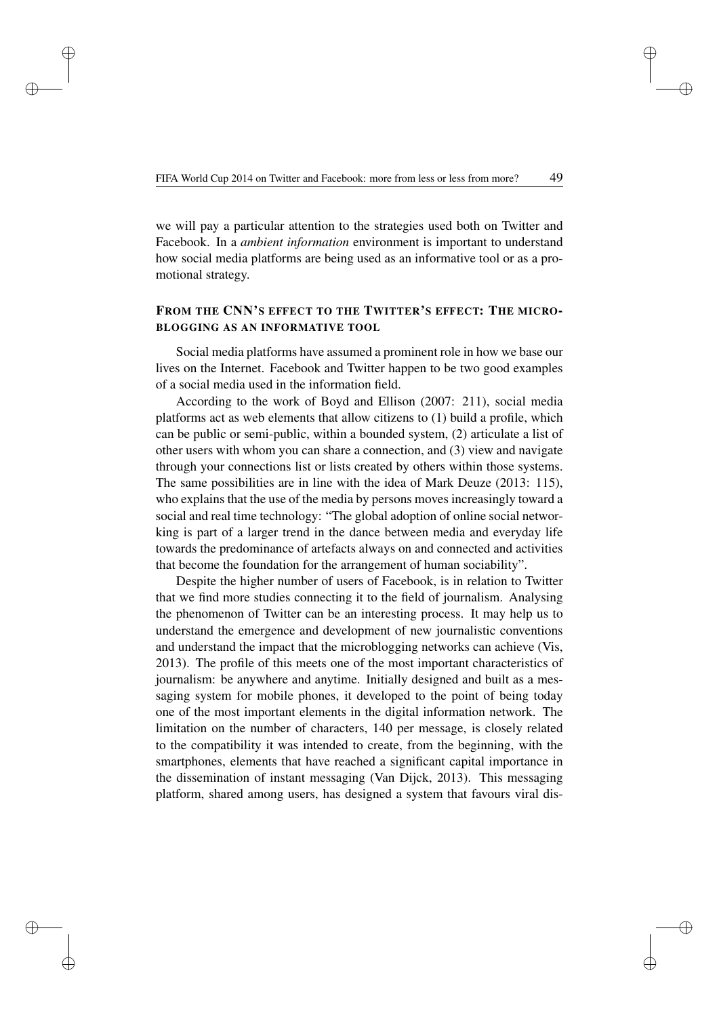✐

✐

✐

we will pay a particular attention to the strategies used both on Twitter and Facebook. In a *ambient information* environment is important to understand how social media platforms are being used as an informative tool or as a promotional strategy.

## FROM THE CNN'S EFFECT TO THE TWITTER'S EFFECT: THE MICRO-BLOGGING AS AN INFORMATIVE TOOL

Social media platforms have assumed a prominent role in how we base our lives on the Internet. Facebook and Twitter happen to be two good examples of a social media used in the information field.

According to the work of Boyd and Ellison (2007: 211), social media platforms act as web elements that allow citizens to (1) build a profile, which can be public or semi-public, within a bounded system, (2) articulate a list of other users with whom you can share a connection, and (3) view and navigate through your connections list or lists created by others within those systems. The same possibilities are in line with the idea of Mark Deuze (2013: 115), who explains that the use of the media by persons moves increasingly toward a social and real time technology: "The global adoption of online social networking is part of a larger trend in the dance between media and everyday life towards the predominance of artefacts always on and connected and activities that become the foundation for the arrangement of human sociability".

Despite the higher number of users of Facebook, is in relation to Twitter that we find more studies connecting it to the field of journalism. Analysing the phenomenon of Twitter can be an interesting process. It may help us to understand the emergence and development of new journalistic conventions and understand the impact that the microblogging networks can achieve (Vis, 2013). The profile of this meets one of the most important characteristics of journalism: be anywhere and anytime. Initially designed and built as a messaging system for mobile phones, it developed to the point of being today one of the most important elements in the digital information network. The limitation on the number of characters, 140 per message, is closely related to the compatibility it was intended to create, from the beginning, with the smartphones, elements that have reached a significant capital importance in the dissemination of instant messaging (Van Dijck, 2013). This messaging platform, shared among users, has designed a system that favours viral dis✐

✐

✐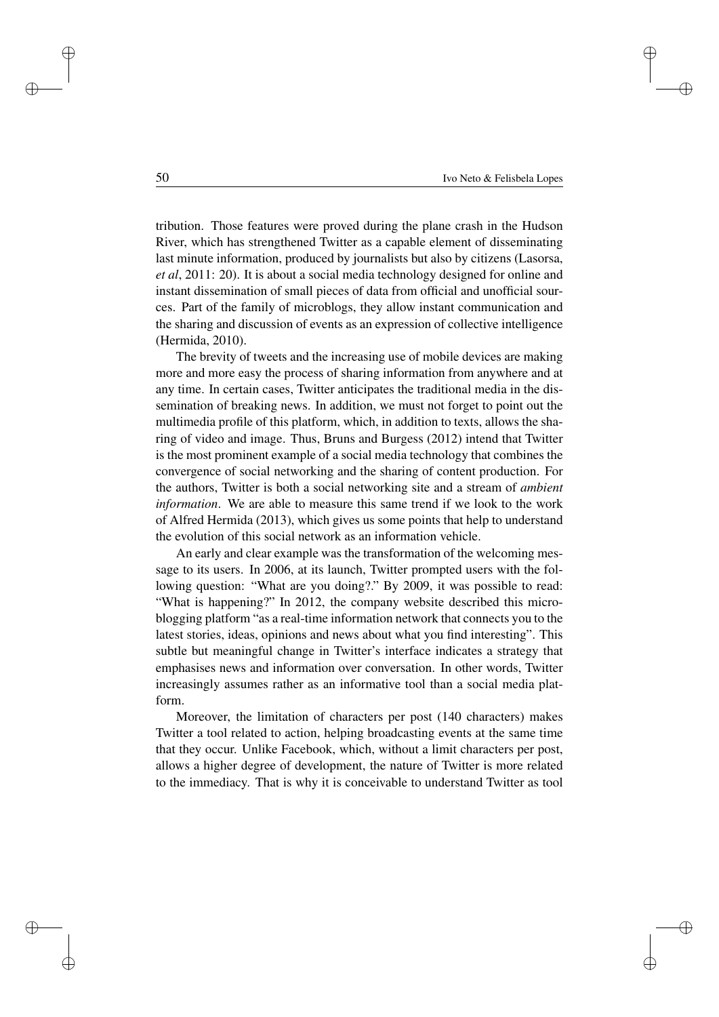✐

✐

✐

tribution. Those features were proved during the plane crash in the Hudson River, which has strengthened Twitter as a capable element of disseminating last minute information, produced by journalists but also by citizens (Lasorsa, *et al*, 2011: 20). It is about a social media technology designed for online and instant dissemination of small pieces of data from official and unofficial sources. Part of the family of microblogs, they allow instant communication and the sharing and discussion of events as an expression of collective intelligence (Hermida, 2010).

The brevity of tweets and the increasing use of mobile devices are making more and more easy the process of sharing information from anywhere and at any time. In certain cases, Twitter anticipates the traditional media in the dissemination of breaking news. In addition, we must not forget to point out the multimedia profile of this platform, which, in addition to texts, allows the sharing of video and image. Thus, Bruns and Burgess (2012) intend that Twitter is the most prominent example of a social media technology that combines the convergence of social networking and the sharing of content production. For the authors, Twitter is both a social networking site and a stream of *ambient information*. We are able to measure this same trend if we look to the work of Alfred Hermida (2013), which gives us some points that help to understand the evolution of this social network as an information vehicle.

An early and clear example was the transformation of the welcoming message to its users. In 2006, at its launch, Twitter prompted users with the following question: "What are you doing?." By 2009, it was possible to read: "What is happening?" In 2012, the company website described this microblogging platform "as a real-time information network that connects you to the latest stories, ideas, opinions and news about what you find interesting". This subtle but meaningful change in Twitter's interface indicates a strategy that emphasises news and information over conversation. In other words, Twitter increasingly assumes rather as an informative tool than a social media platform.

Moreover, the limitation of characters per post (140 characters) makes Twitter a tool related to action, helping broadcasting events at the same time that they occur. Unlike Facebook, which, without a limit characters per post, allows a higher degree of development, the nature of Twitter is more related to the immediacy. That is why it is conceivable to understand Twitter as tool

✐

✐

✐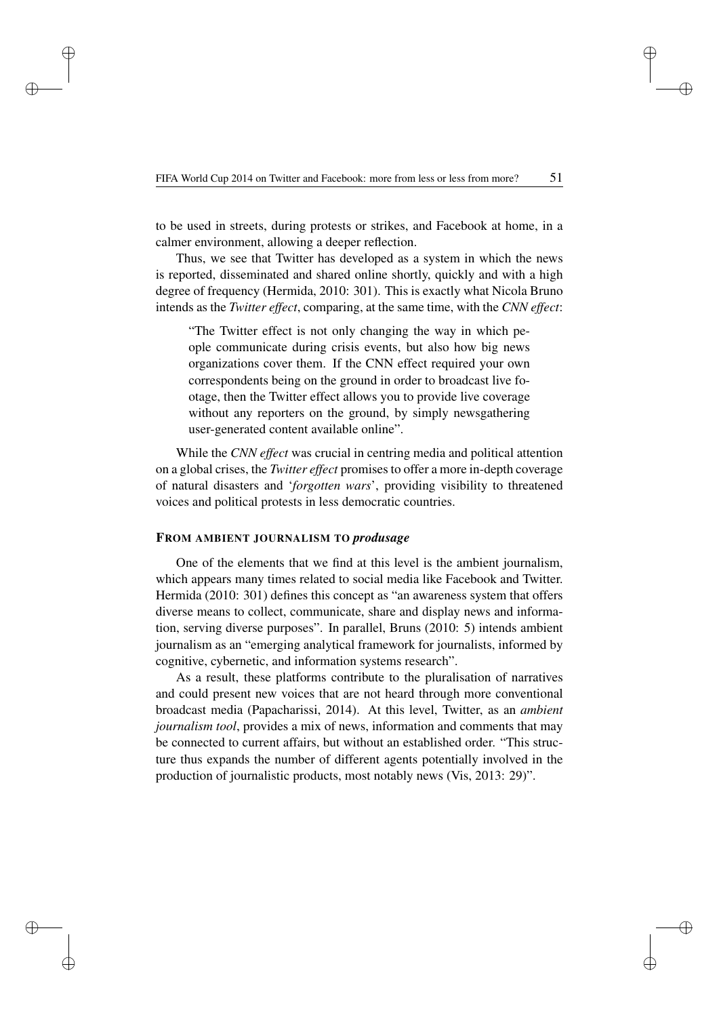✐

✐

✐

to be used in streets, during protests or strikes, and Facebook at home, in a calmer environment, allowing a deeper reflection.

Thus, we see that Twitter has developed as a system in which the news is reported, disseminated and shared online shortly, quickly and with a high degree of frequency (Hermida, 2010: 301). This is exactly what Nicola Bruno intends as the *Twitter effect*, comparing, at the same time, with the *CNN effect*:

"The Twitter effect is not only changing the way in which people communicate during crisis events, but also how big news organizations cover them. If the CNN effect required your own correspondents being on the ground in order to broadcast live footage, then the Twitter effect allows you to provide live coverage without any reporters on the ground, by simply newsgathering user-generated content available online".

While the *CNN effect* was crucial in centring media and political attention on a global crises, the *Twitter effect* promises to offer a more in-depth coverage of natural disasters and '*forgotten wars*', providing visibility to threatened voices and political protests in less democratic countries.

### FROM AMBIENT JOURNALISM TO *produsage*

One of the elements that we find at this level is the ambient journalism, which appears many times related to social media like Facebook and Twitter. Hermida (2010: 301) defines this concept as "an awareness system that offers diverse means to collect, communicate, share and display news and information, serving diverse purposes". In parallel, Bruns (2010: 5) intends ambient journalism as an "emerging analytical framework for journalists, informed by cognitive, cybernetic, and information systems research".

As a result, these platforms contribute to the pluralisation of narratives and could present new voices that are not heard through more conventional broadcast media (Papacharissi, 2014). At this level, Twitter, as an *ambient journalism tool*, provides a mix of news, information and comments that may be connected to current affairs, but without an established order. "This structure thus expands the number of different agents potentially involved in the production of journalistic products, most notably news (Vis, 2013: 29)".

✐

✐

✐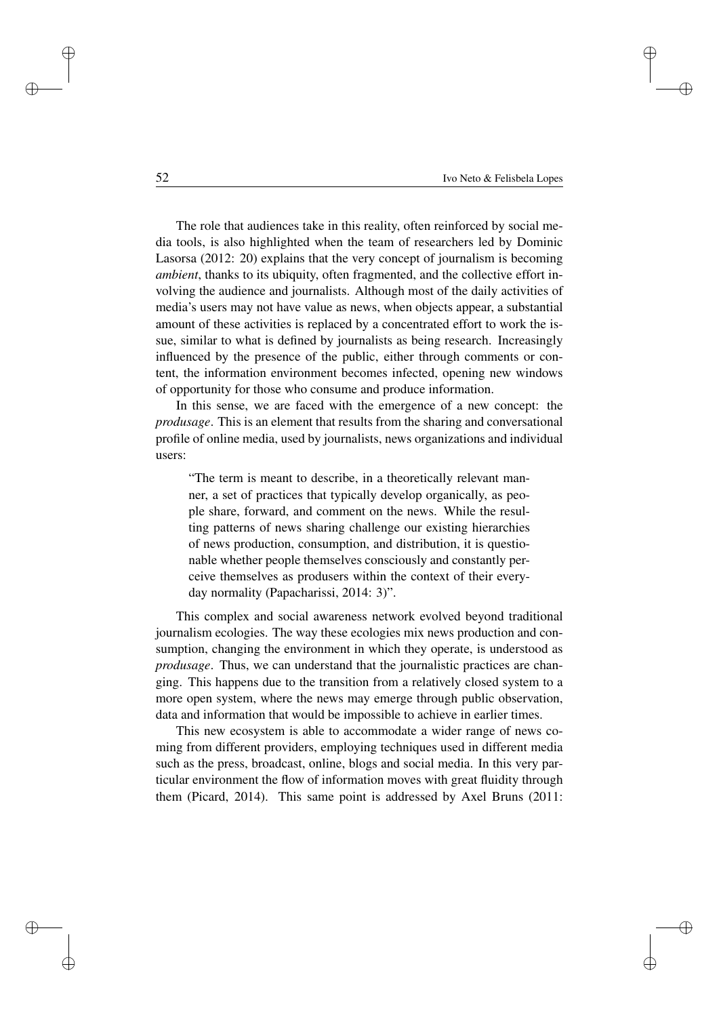✐

✐

✐

The role that audiences take in this reality, often reinforced by social media tools, is also highlighted when the team of researchers led by Dominic Lasorsa (2012: 20) explains that the very concept of journalism is becoming *ambient*, thanks to its ubiquity, often fragmented, and the collective effort involving the audience and journalists. Although most of the daily activities of media's users may not have value as news, when objects appear, a substantial amount of these activities is replaced by a concentrated effort to work the issue, similar to what is defined by journalists as being research. Increasingly influenced by the presence of the public, either through comments or content, the information environment becomes infected, opening new windows of opportunity for those who consume and produce information.

In this sense, we are faced with the emergence of a new concept: the *produsage*. This is an element that results from the sharing and conversational profile of online media, used by journalists, news organizations and individual users:

"The term is meant to describe, in a theoretically relevant manner, a set of practices that typically develop organically, as people share, forward, and comment on the news. While the resulting patterns of news sharing challenge our existing hierarchies of news production, consumption, and distribution, it is questionable whether people themselves consciously and constantly perceive themselves as produsers within the context of their everyday normality (Papacharissi, 2014: 3)".

This complex and social awareness network evolved beyond traditional journalism ecologies. The way these ecologies mix news production and consumption, changing the environment in which they operate, is understood as *produsage*. Thus, we can understand that the journalistic practices are changing. This happens due to the transition from a relatively closed system to a more open system, where the news may emerge through public observation, data and information that would be impossible to achieve in earlier times.

This new ecosystem is able to accommodate a wider range of news coming from different providers, employing techniques used in different media such as the press, broadcast, online, blogs and social media. In this very particular environment the flow of information moves with great fluidity through them (Picard, 2014). This same point is addressed by Axel Bruns (2011:

✐

✐

✐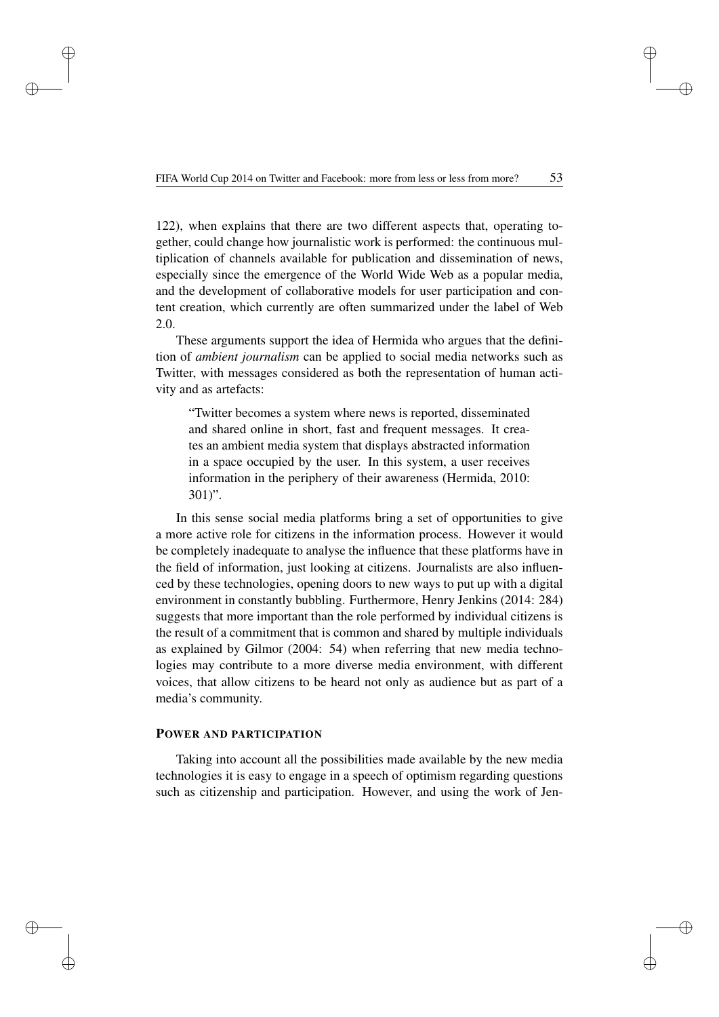✐

✐

✐

122), when explains that there are two different aspects that, operating together, could change how journalistic work is performed: the continuous multiplication of channels available for publication and dissemination of news, especially since the emergence of the World Wide Web as a popular media, and the development of collaborative models for user participation and content creation, which currently are often summarized under the label of Web 2.0.

These arguments support the idea of Hermida who argues that the definition of *ambient journalism* can be applied to social media networks such as Twitter, with messages considered as both the representation of human activity and as artefacts:

"Twitter becomes a system where news is reported, disseminated and shared online in short, fast and frequent messages. It creates an ambient media system that displays abstracted information in a space occupied by the user. In this system, a user receives information in the periphery of their awareness (Hermida, 2010: 301)".

In this sense social media platforms bring a set of opportunities to give a more active role for citizens in the information process. However it would be completely inadequate to analyse the influence that these platforms have in the field of information, just looking at citizens. Journalists are also influenced by these technologies, opening doors to new ways to put up with a digital environment in constantly bubbling. Furthermore, Henry Jenkins (2014: 284) suggests that more important than the role performed by individual citizens is the result of a commitment that is common and shared by multiple individuals as explained by Gilmor (2004: 54) when referring that new media technologies may contribute to a more diverse media environment, with different voices, that allow citizens to be heard not only as audience but as part of a media's community.

### POWER AND PARTICIPATION

Taking into account all the possibilities made available by the new media technologies it is easy to engage in a speech of optimism regarding questions such as citizenship and participation. However, and using the work of Jen✐

✐

✐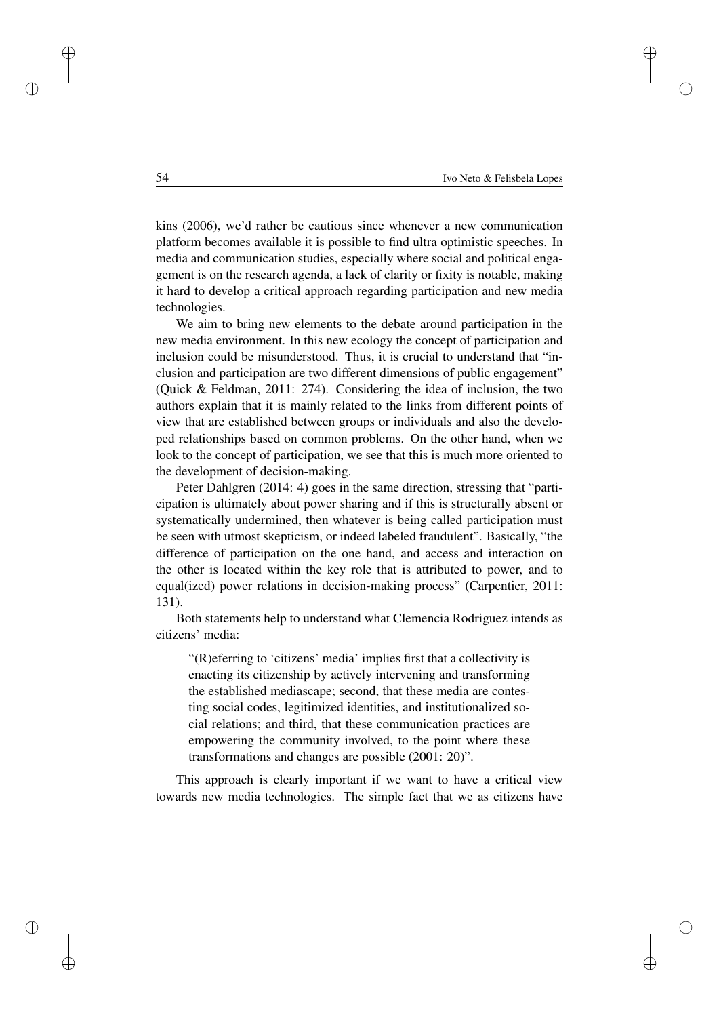✐

✐

✐

kins (2006), we'd rather be cautious since whenever a new communication platform becomes available it is possible to find ultra optimistic speeches. In media and communication studies, especially where social and political engagement is on the research agenda, a lack of clarity or fixity is notable, making it hard to develop a critical approach regarding participation and new media technologies.

We aim to bring new elements to the debate around participation in the new media environment. In this new ecology the concept of participation and inclusion could be misunderstood. Thus, it is crucial to understand that "inclusion and participation are two different dimensions of public engagement" (Quick & Feldman, 2011: 274). Considering the idea of inclusion, the two authors explain that it is mainly related to the links from different points of view that are established between groups or individuals and also the developed relationships based on common problems. On the other hand, when we look to the concept of participation, we see that this is much more oriented to the development of decision-making.

Peter Dahlgren (2014: 4) goes in the same direction, stressing that "participation is ultimately about power sharing and if this is structurally absent or systematically undermined, then whatever is being called participation must be seen with utmost skepticism, or indeed labeled fraudulent". Basically, "the difference of participation on the one hand, and access and interaction on the other is located within the key role that is attributed to power, and to equal(ized) power relations in decision-making process" (Carpentier, 2011: 131).

Both statements help to understand what Clemencia Rodriguez intends as citizens' media:

"(R)eferring to 'citizens' media' implies first that a collectivity is enacting its citizenship by actively intervening and transforming the established mediascape; second, that these media are contesting social codes, legitimized identities, and institutionalized social relations; and third, that these communication practices are empowering the community involved, to the point where these transformations and changes are possible (2001: 20)".

This approach is clearly important if we want to have a critical view towards new media technologies. The simple fact that we as citizens have

✐

✐

✐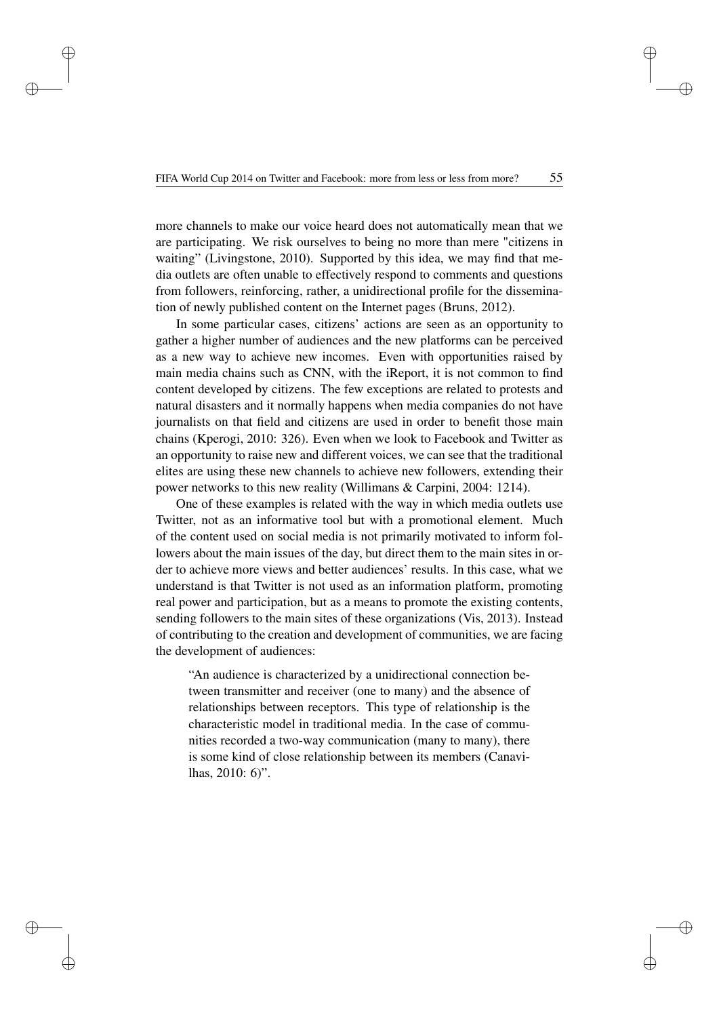✐

✐

✐

✐

✐

✐

✐

more channels to make our voice heard does not automatically mean that we are participating. We risk ourselves to being no more than mere "citizens in waiting" (Livingstone, 2010). Supported by this idea, we may find that media outlets are often unable to effectively respond to comments and questions from followers, reinforcing, rather, a unidirectional profile for the dissemination of newly published content on the Internet pages (Bruns, 2012).

In some particular cases, citizens' actions are seen as an opportunity to gather a higher number of audiences and the new platforms can be perceived as a new way to achieve new incomes. Even with opportunities raised by main media chains such as CNN, with the iReport, it is not common to find content developed by citizens. The few exceptions are related to protests and natural disasters and it normally happens when media companies do not have journalists on that field and citizens are used in order to benefit those main chains (Kperogi, 2010: 326). Even when we look to Facebook and Twitter as an opportunity to raise new and different voices, we can see that the traditional elites are using these new channels to achieve new followers, extending their power networks to this new reality (Willimans & Carpini, 2004: 1214).

One of these examples is related with the way in which media outlets use Twitter, not as an informative tool but with a promotional element. Much of the content used on social media is not primarily motivated to inform followers about the main issues of the day, but direct them to the main sites in order to achieve more views and better audiences' results. In this case, what we understand is that Twitter is not used as an information platform, promoting real power and participation, but as a means to promote the existing contents, sending followers to the main sites of these organizations (Vis, 2013). Instead of contributing to the creation and development of communities, we are facing the development of audiences:

"An audience is characterized by a unidirectional connection between transmitter and receiver (one to many) and the absence of relationships between receptors. This type of relationship is the characteristic model in traditional media. In the case of communities recorded a two-way communication (many to many), there is some kind of close relationship between its members (Canavilhas, 2010: 6)".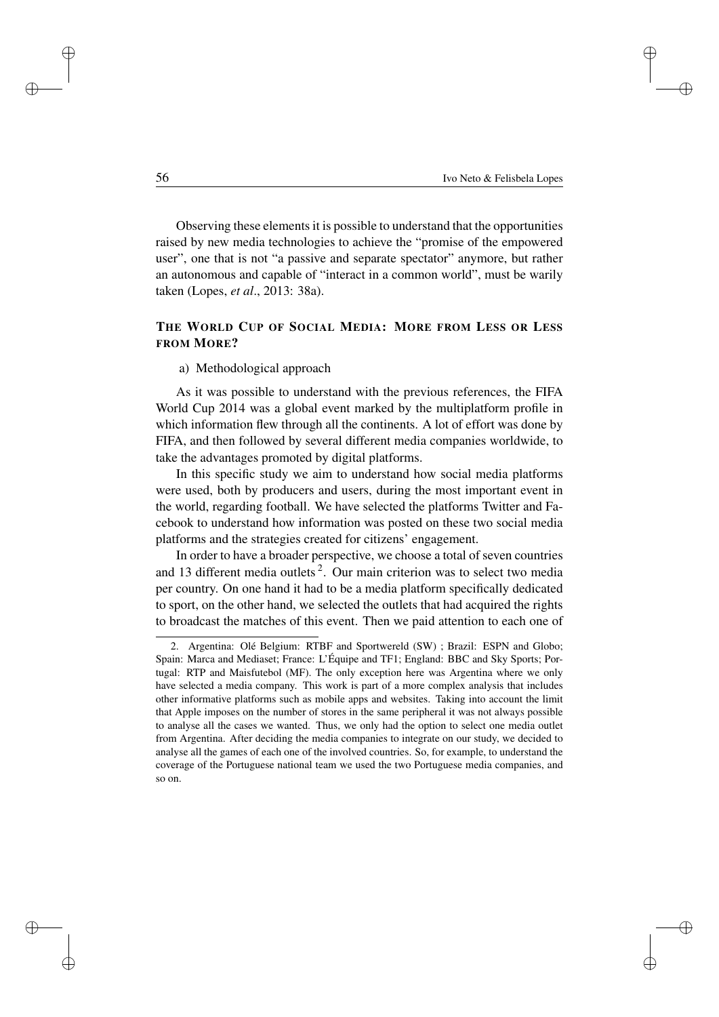✐

✐

✐

Observing these elements it is possible to understand that the opportunities raised by new media technologies to achieve the "promise of the empowered user", one that is not "a passive and separate spectator" anymore, but rather an autonomous and capable of "interact in a common world", must be warily taken (Lopes, *et al*., 2013: 38a).

## THE WORLD CUP OF SOCIAL MEDIA: MORE FROM LESS OR LESS FROM MORE?

#### a) Methodological approach

As it was possible to understand with the previous references, the FIFA World Cup 2014 was a global event marked by the multiplatform profile in which information flew through all the continents. A lot of effort was done by FIFA, and then followed by several different media companies worldwide, to take the advantages promoted by digital platforms.

In this specific study we aim to understand how social media platforms were used, both by producers and users, during the most important event in the world, regarding football. We have selected the platforms Twitter and Facebook to understand how information was posted on these two social media platforms and the strategies created for citizens' engagement.

In order to have a broader perspective, we choose a total of seven countries and 13 different media outlets<sup>2</sup>. Our main criterion was to select two media per country. On one hand it had to be a media platform specifically dedicated to sport, on the other hand, we selected the outlets that had acquired the rights to broadcast the matches of this event. Then we paid attention to each one of

✐

✐

✐

<sup>2.</sup> Argentina: Olé Belgium: RTBF and Sportwereld (SW) ; Brazil: ESPN and Globo; Spain: Marca and Mediaset; France: L'Équipe and TF1; England: BBC and Sky Sports; Portugal: RTP and Maisfutebol (MF). The only exception here was Argentina where we only have selected a media company. This work is part of a more complex analysis that includes other informative platforms such as mobile apps and websites. Taking into account the limit that Apple imposes on the number of stores in the same peripheral it was not always possible to analyse all the cases we wanted. Thus, we only had the option to select one media outlet from Argentina. After deciding the media companies to integrate on our study, we decided to analyse all the games of each one of the involved countries. So, for example, to understand the coverage of the Portuguese national team we used the two Portuguese media companies, and so on.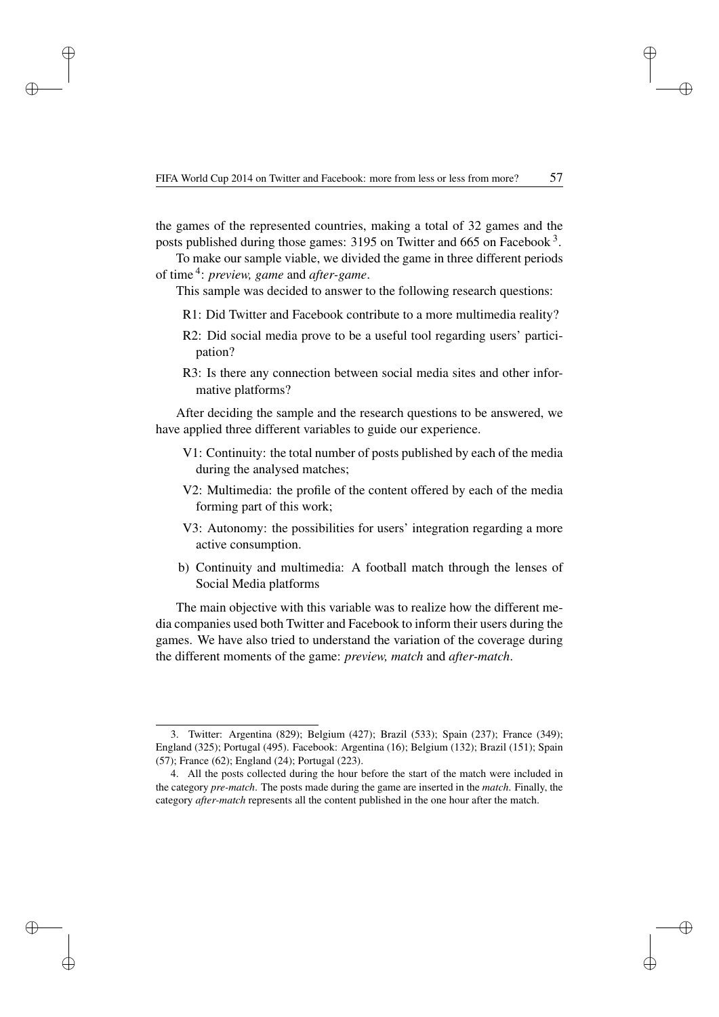✐

✐

✐

the games of the represented countries, making a total of 32 games and the posts published during those games: 3195 on Twitter and 665 on Facebook<sup>3</sup>.

To make our sample viable, we divided the game in three different periods of time 4 : *preview, game* and *after-game*.

This sample was decided to answer to the following research questions:

- R1: Did Twitter and Facebook contribute to a more multimedia reality?
- R2: Did social media prove to be a useful tool regarding users' participation?
- R3: Is there any connection between social media sites and other informative platforms?

After deciding the sample and the research questions to be answered, we have applied three different variables to guide our experience.

- V1: Continuity: the total number of posts published by each of the media during the analysed matches;
- V2: Multimedia: the profile of the content offered by each of the media forming part of this work;
- V3: Autonomy: the possibilities for users' integration regarding a more active consumption.
- b) Continuity and multimedia: A football match through the lenses of Social Media platforms

The main objective with this variable was to realize how the different media companies used both Twitter and Facebook to inform their users during the games. We have also tried to understand the variation of the coverage during the different moments of the game: *preview, match* and *after-match*.

✐

✐

✐

<sup>3.</sup> Twitter: Argentina (829); Belgium (427); Brazil (533); Spain (237); France (349); England (325); Portugal (495). Facebook: Argentina (16); Belgium (132); Brazil (151); Spain (57); France (62); England (24); Portugal (223).

<sup>4.</sup> All the posts collected during the hour before the start of the match were included in the category *pre-match*. The posts made during the game are inserted in the *match*. Finally, the category *after-match* represents all the content published in the one hour after the match.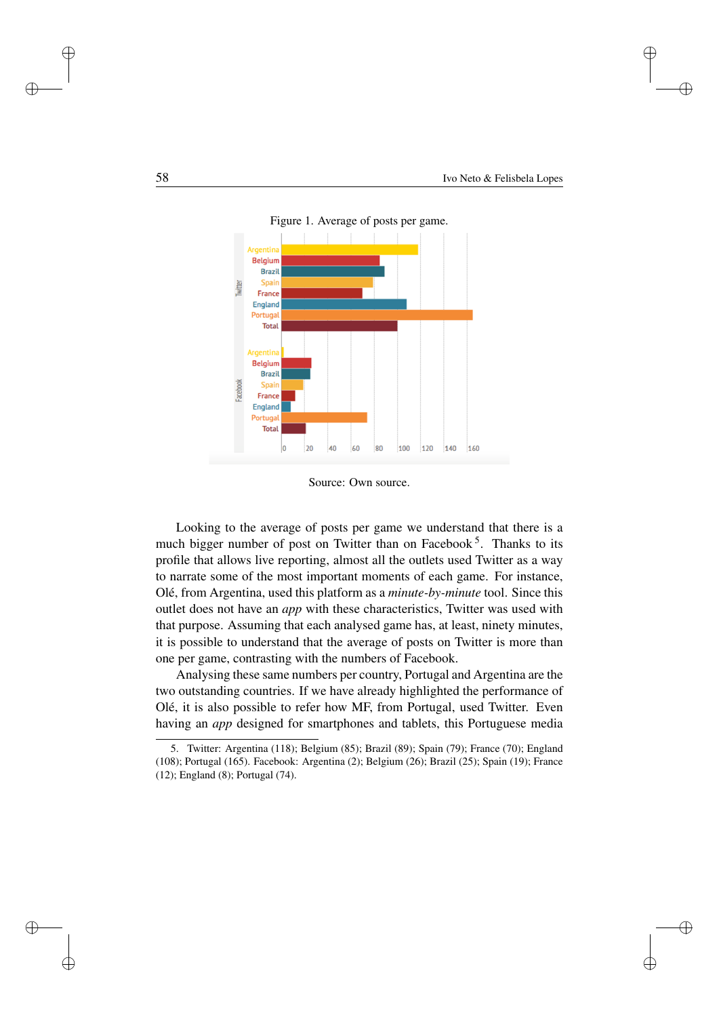✐

✐

✐



Figure 1. Average of posts per game.

Source: Own source.

Looking to the average of posts per game we understand that there is a much bigger number of post on Twitter than on Facebook<sup>5</sup>. Thanks to its profile that allows live reporting, almost all the outlets used Twitter as a way to narrate some of the most important moments of each game. For instance, Olé, from Argentina, used this platform as a *minute-by-minute* tool. Since this outlet does not have an *app* with these characteristics, Twitter was used with that purpose. Assuming that each analysed game has, at least, ninety minutes, it is possible to understand that the average of posts on Twitter is more than one per game, contrasting with the numbers of Facebook.

Analysing these same numbers per country, Portugal and Argentina are the two outstanding countries. If we have already highlighted the performance of Olé, it is also possible to refer how MF, from Portugal, used Twitter. Even having an *app* designed for smartphones and tablets, this Portuguese media

✐

✐

 $\oplus$ 

<sup>5.</sup> Twitter: Argentina (118); Belgium (85); Brazil (89); Spain (79); France (70); England (108); Portugal (165). Facebook: Argentina (2); Belgium (26); Brazil (25); Spain (19); France (12); England (8); Portugal (74).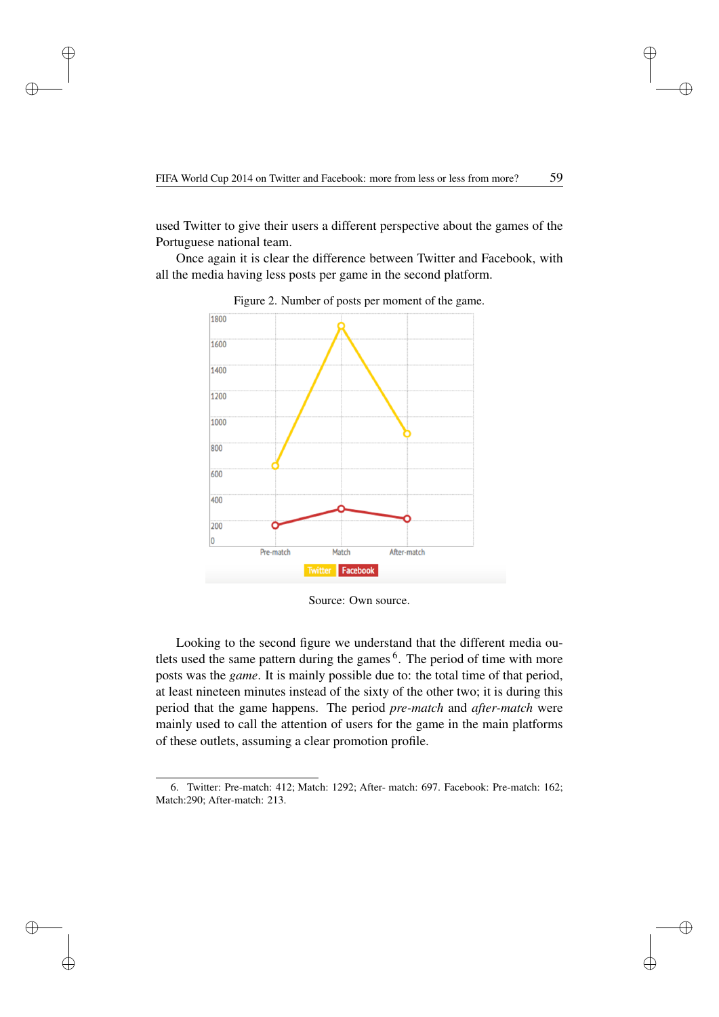✐

✐

✐

used Twitter to give their users a different perspective about the games of the Portuguese national team.

Once again it is clear the difference between Twitter and Facebook, with all the media having less posts per game in the second platform.



Figure 2. Number of posts per moment of the game.

Looking to the second figure we understand that the different media outlets used the same pattern during the games <sup>6</sup>. The period of time with more posts was the *game*. It is mainly possible due to: the total time of that period, at least nineteen minutes instead of the sixty of the other two; it is during this period that the game happens. The period *pre-match* and *after-match* were mainly used to call the attention of users for the game in the main platforms of these outlets, assuming a clear promotion profile.

✐

 $\oplus$ 

✐

Source: Own source.

<sup>6.</sup> Twitter: Pre-match: 412; Match: 1292; After- match: 697. Facebook: Pre-match: 162; Match:290; After-match: 213.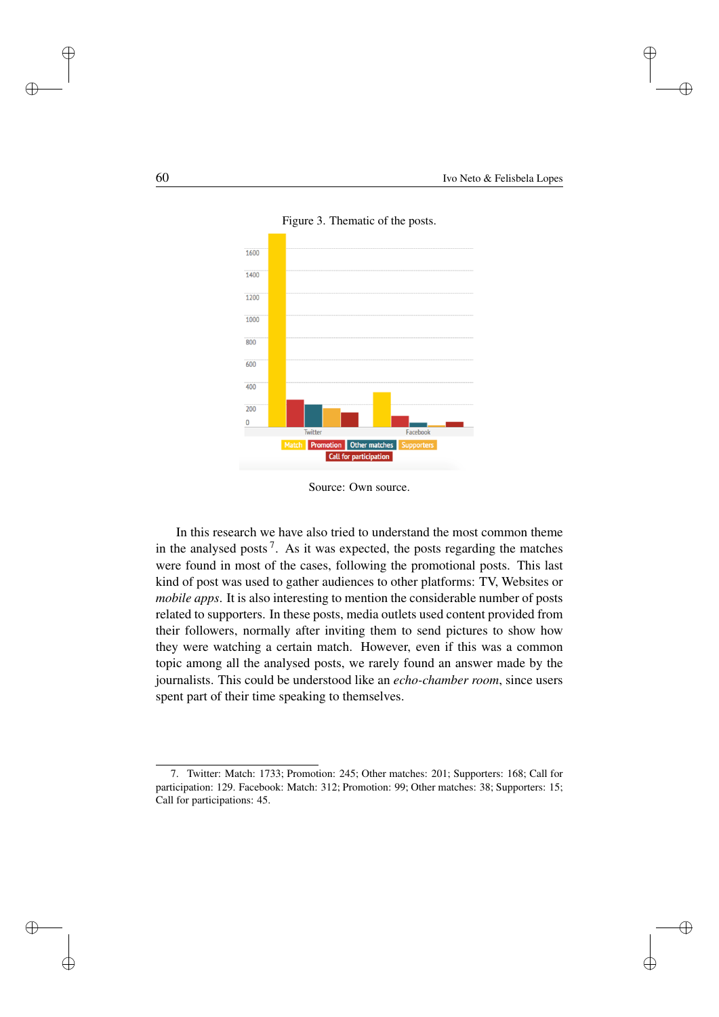✐

✐

✐



Figure 3. Thematic of the posts.

In this research we have also tried to understand the most common theme in the analysed posts<sup>7</sup>. As it was expected, the posts regarding the matches were found in most of the cases, following the promotional posts. This last kind of post was used to gather audiences to other platforms: TV, Websites or *mobile apps*. It is also interesting to mention the considerable number of posts related to supporters. In these posts, media outlets used content provided from their followers, normally after inviting them to send pictures to show how they were watching a certain match. However, even if this was a common topic among all the analysed posts, we rarely found an answer made by the journalists. This could be understood like an *echo-chamber room*, since users spent part of their time speaking to themselves.

✐

✐

✐

Source: Own source.

<sup>7.</sup> Twitter: Match: 1733; Promotion: 245; Other matches: 201; Supporters: 168; Call for participation: 129. Facebook: Match: 312; Promotion: 99; Other matches: 38; Supporters: 15; Call for participations: 45.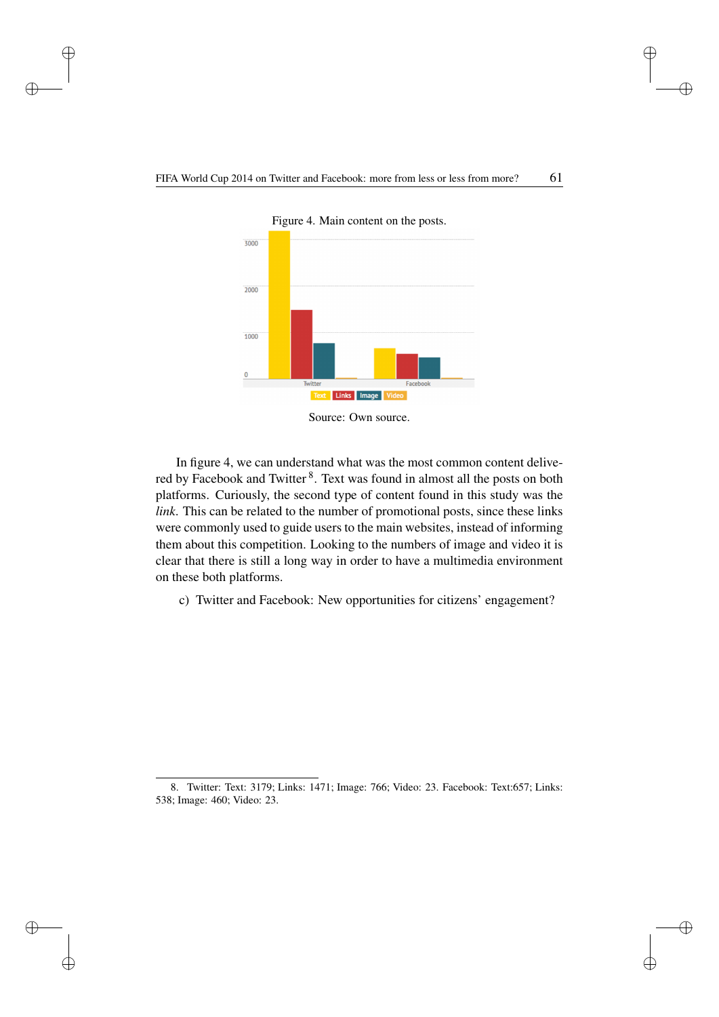✐

✐

✐

✐

✐

 $\oplus$ 

✐



Figure 4. Main content on the posts.

In figure 4, we can understand what was the most common content delivered by Facebook and Twitter<sup>8</sup>. Text was found in almost all the posts on both platforms. Curiously, the second type of content found in this study was the *link*. This can be related to the number of promotional posts, since these links were commonly used to guide users to the main websites, instead of informing them about this competition. Looking to the numbers of image and video it is clear that there is still a long way in order to have a multimedia environment on these both platforms.

c) Twitter and Facebook: New opportunities for citizens' engagement?

Source: Own source.

<sup>8.</sup> Twitter: Text: 3179; Links: 1471; Image: 766; Video: 23. Facebook: Text:657; Links: 538; Image: 460; Video: 23.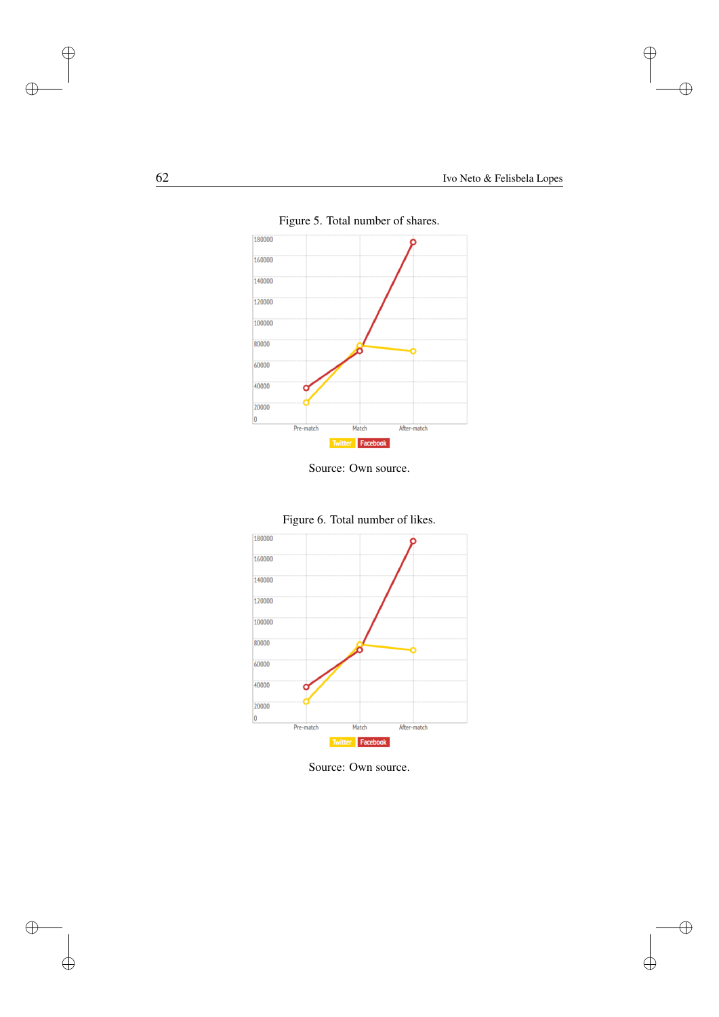$\bigoplus$ 

 $\bigoplus$ 

 $\bigoplus$ 

 $\bigoplus$ 



Figure 5. Total number of shares.

Source: Own source.



Figure 6. Total number of likes.

Source: Own source.

 $\bigoplus$ 

 $\bigoplus$ 

 $\bigoplus$ 

 $\oplus$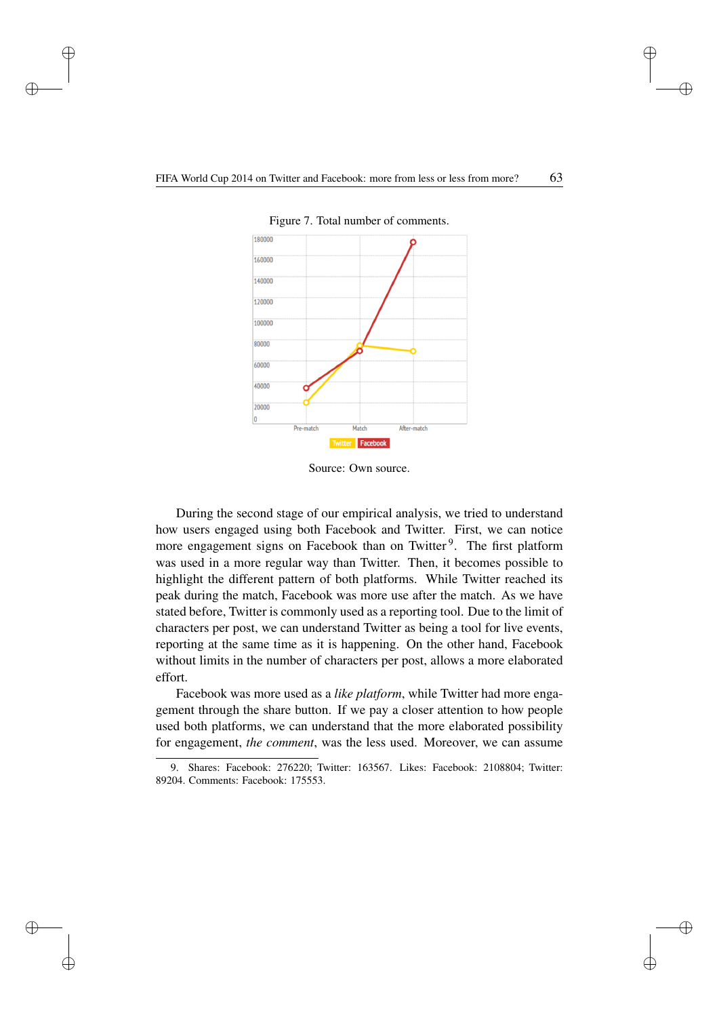✐

 $\oplus$ 

✐



Figure 7. Total number of comments.

Source: Own source.

During the second stage of our empirical analysis, we tried to understand how users engaged using both Facebook and Twitter. First, we can notice more engagement signs on Facebook than on Twitter<sup>9</sup>. The first platform was used in a more regular way than Twitter. Then, it becomes possible to highlight the different pattern of both platforms. While Twitter reached its peak during the match, Facebook was more use after the match. As we have stated before, Twitter is commonly used as a reporting tool. Due to the limit of characters per post, we can understand Twitter as being a tool for live events, reporting at the same time as it is happening. On the other hand, Facebook without limits in the number of characters per post, allows a more elaborated effort.

Facebook was more used as a *like platform*, while Twitter had more engagement through the share button. If we pay a closer attention to how people used both platforms, we can understand that the more elaborated possibility for engagement, *the comment*, was the less used. Moreover, we can assume

✐

✐

✐

<sup>9.</sup> Shares: Facebook: 276220; Twitter: 163567. Likes: Facebook: 2108804; Twitter: 89204. Comments: Facebook: 175553.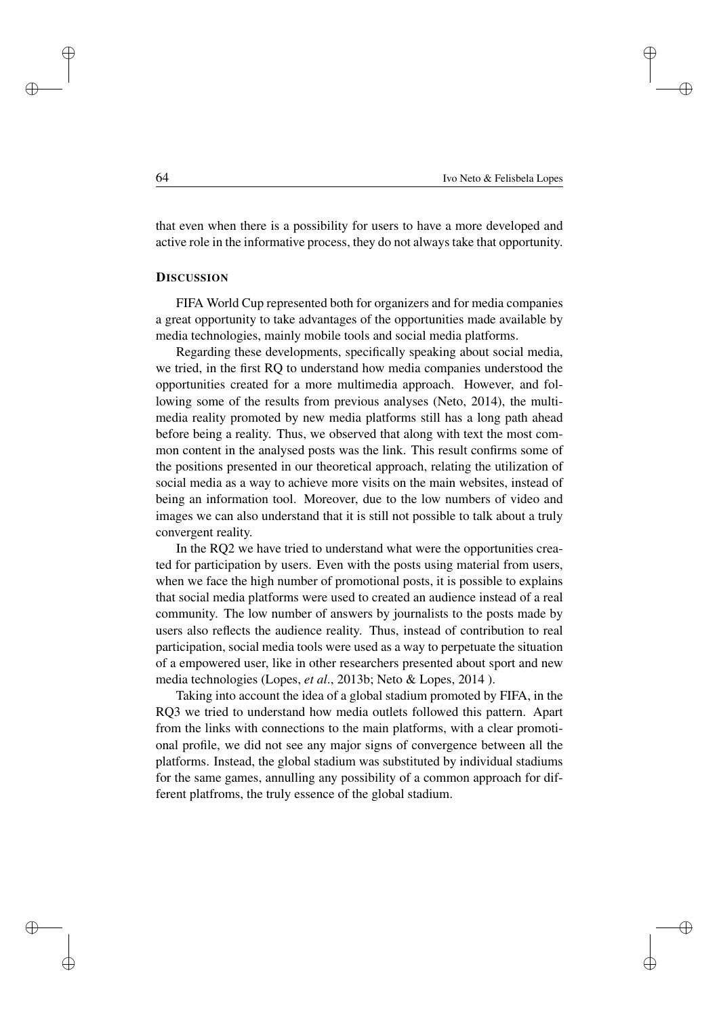✐

✐

✐

that even when there is a possibility for users to have a more developed and active role in the informative process, they do not always take that opportunity.

#### **DISCUSSION**

FIFA World Cup represented both for organizers and for media companies a great opportunity to take advantages of the opportunities made available by media technologies, mainly mobile tools and social media platforms.

Regarding these developments, specifically speaking about social media, we tried, in the first RQ to understand how media companies understood the opportunities created for a more multimedia approach. However, and following some of the results from previous analyses (Neto, 2014), the multimedia reality promoted by new media platforms still has a long path ahead before being a reality. Thus, we observed that along with text the most common content in the analysed posts was the link. This result confirms some of the positions presented in our theoretical approach, relating the utilization of social media as a way to achieve more visits on the main websites, instead of being an information tool. Moreover, due to the low numbers of video and images we can also understand that it is still not possible to talk about a truly convergent reality.

In the RQ2 we have tried to understand what were the opportunities created for participation by users. Even with the posts using material from users, when we face the high number of promotional posts, it is possible to explains that social media platforms were used to created an audience instead of a real community. The low number of answers by journalists to the posts made by users also reflects the audience reality. Thus, instead of contribution to real participation, social media tools were used as a way to perpetuate the situation of a empowered user, like in other researchers presented about sport and new media technologies (Lopes, *et al*., 2013b; Neto & Lopes, 2014 ).

Taking into account the idea of a global stadium promoted by FIFA, in the RQ3 we tried to understand how media outlets followed this pattern. Apart from the links with connections to the main platforms, with a clear promotional profile, we did not see any major signs of convergence between all the platforms. Instead, the global stadium was substituted by individual stadiums for the same games, annulling any possibility of a common approach for different platfroms, the truly essence of the global stadium.

✐

✐

✐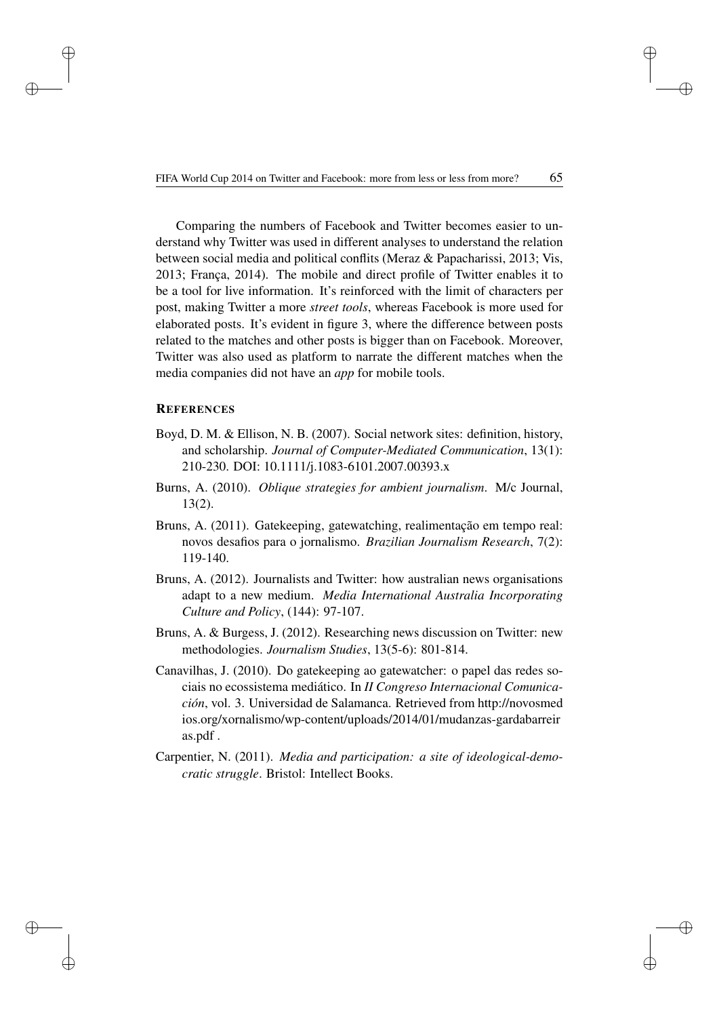✐

✐

✐

Comparing the numbers of Facebook and Twitter becomes easier to understand why Twitter was used in different analyses to understand the relation between social media and political conflits (Meraz & Papacharissi, 2013; Vis, 2013; França, 2014). The mobile and direct profile of Twitter enables it to be a tool for live information. It's reinforced with the limit of characters per post, making Twitter a more *street tools*, whereas Facebook is more used for elaborated posts. It's evident in figure 3, where the difference between posts related to the matches and other posts is bigger than on Facebook. Moreover, Twitter was also used as platform to narrate the different matches when the media companies did not have an *app* for mobile tools.

### **REFERENCES**

✐

✐

✐

- Boyd, D. M. & Ellison, N. B. (2007). Social network sites: definition, history, and scholarship. *Journal of Computer-Mediated Communication*, 13(1): 210-230. DOI: 10.1111/j.1083-6101.2007.00393.x
- Burns, A. (2010). *Oblique strategies for ambient journalism*. M/c Journal, 13(2).
- Bruns, A. (2011). Gatekeeping, gatewatching, realimentação em tempo real: novos desafios para o jornalismo. *Brazilian Journalism Research*, 7(2): 119-140.
- Bruns, A. (2012). Journalists and Twitter: how australian news organisations adapt to a new medium. *Media International Australia Incorporating Culture and Policy*, (144): 97-107.
- Bruns, A. & Burgess, J. (2012). Researching news discussion on Twitter: new methodologies. *Journalism Studies*, 13(5-6): 801-814.
- Canavilhas, J. (2010). Do gatekeeping ao gatewatcher: o papel das redes sociais no ecossistema mediático. In *II Congreso Internacional Comunicación*, vol. 3. Universidad de Salamanca. Retrieved from [http://novosmed](http://novosmedios.org/xornalismo/wp-content/uploads/2014/01/mudanzas-gardabarreiras.pdf) [ios.org/xornalismo/wp-content/uploads/2014/01/mudanzas-gardabarreir](http://novosmedios.org/xornalismo/wp-content/uploads/2014/01/mudanzas-gardabarreiras.pdf) [as.pdf](http://novosmedios.org/xornalismo/wp-content/uploads/2014/01/mudanzas-gardabarreiras.pdf) .
- Carpentier, N. (2011). *Media and participation: a site of ideological-democratic struggle*. Bristol: Intellect Books.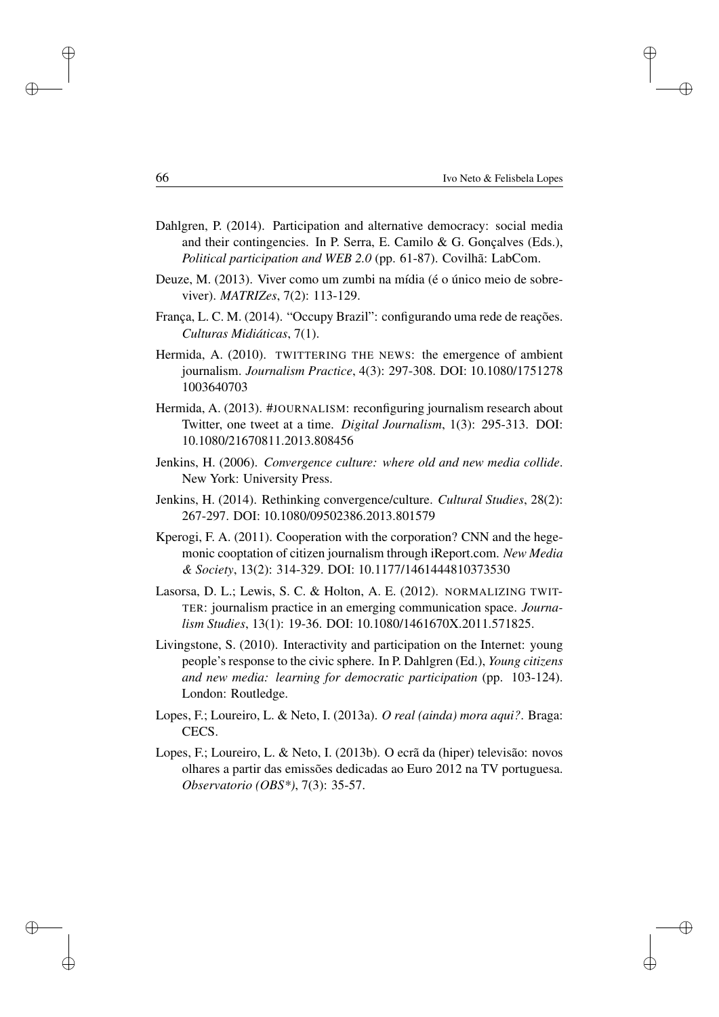✐

✐

✐

- Dahlgren, P. (2014). Participation and alternative democracy: social media and their contingencies. In P. Serra, E. Camilo & G. Gonçalves (Eds.), *Political participation and WEB 2.0* (pp. 61-87). Covilhã: LabCom.
- Deuze, M. (2013). Viver como um zumbi na mídia (é o único meio de sobreviver). *MATRIZes*, 7(2): 113-129.
- França, L. C. M. (2014). "Occupy Brazil": configurando uma rede de reações. *Culturas Midiáticas*, 7(1).
- Hermida, A. (2010). TWITTERING THE NEWS: the emergence of ambient journalism. *Journalism Practice*, 4(3): 297-308. DOI: 10.1080/1751278 1003640703
- Hermida, A. (2013). #JOURNALISM: reconfiguring journalism research about Twitter, one tweet at a time. *Digital Journalism*, 1(3): 295-313. DOI: 10.1080/21670811.2013.808456
- Jenkins, H. (2006). *Convergence culture: where old and new media collide*. New York: University Press.
- Jenkins, H. (2014). Rethinking convergence/culture. *Cultural Studies*, 28(2): 267-297. DOI: 10.1080/09502386.2013.801579
- Kperogi, F. A. (2011). Cooperation with the corporation? CNN and the hegemonic cooptation of citizen journalism through iReport.com. *New Media & Society*, 13(2): 314-329. DOI: 10.1177/1461444810373530
- Lasorsa, D. L.; Lewis, S. C. & Holton, A. E. (2012). NORMALIZING TWIT-TER: journalism practice in an emerging communication space. *Journalism Studies*, 13(1): 19-36. DOI: 10.1080/1461670X.2011.571825.
- Livingstone, S. (2010). Interactivity and participation on the Internet: young people's response to the civic sphere. In P. Dahlgren (Ed.), *Young citizens and new media: learning for democratic participation* (pp. 103-124). London: Routledge.
- Lopes, F.; Loureiro, L. & Neto, I. (2013a). *O real (ainda) mora aqui?*. Braga: CECS.
- Lopes, F.; Loureiro, L. & Neto, I. (2013b). O ecrã da (hiper) televisão: novos olhares a partir das emissões dedicadas ao Euro 2012 na TV portuguesa. *Observatorio (OBS\*)*, 7(3): 35-57.

✐

✐

✐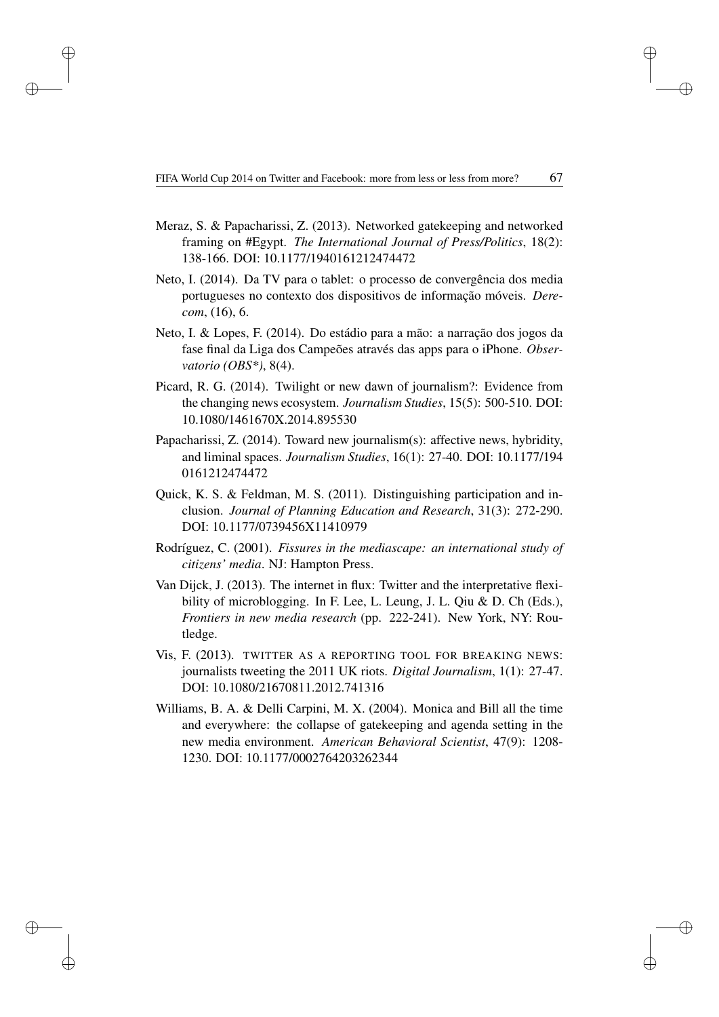✐

✐

✐

- Meraz, S. & Papacharissi, Z. (2013). Networked gatekeeping and networked framing on #Egypt. *The International Journal of Press/Politics*, 18(2): 138-166. DOI: 10.1177/1940161212474472
- Neto, I. (2014). Da TV para o tablet: o processo de convergência dos media portugueses no contexto dos dispositivos de informação móveis. *Derecom*, (16), 6.
- Neto, I. & Lopes, F. (2014). Do estádio para a mão: a narração dos jogos da fase final da Liga dos Campeões através das apps para o iPhone. *Observatorio (OBS\*)*, 8(4).
- Picard, R. G. (2014). Twilight or new dawn of journalism?: Evidence from the changing news ecosystem. *Journalism Studies*, 15(5): 500-510. DOI: 10.1080/1461670X.2014.895530
- Papacharissi, Z. (2014). Toward new journalism(s): affective news, hybridity, and liminal spaces. *Journalism Studies*, 16(1): 27-40. DOI: 10.1177/194 0161212474472
- Quick, K. S. & Feldman, M. S. (2011). Distinguishing participation and inclusion. *Journal of Planning Education and Research*, 31(3): 272-290. DOI: 10.1177/0739456X11410979
- Rodríguez, C. (2001). *Fissures in the mediascape: an international study of citizens' media*. NJ: Hampton Press.
- Van Dijck, J. (2013). The internet in flux: Twitter and the interpretative flexibility of microblogging. In F. Lee, L. Leung, J. L. Qiu & D. Ch (Eds.), *Frontiers in new media research* (pp. 222-241). New York, NY: Routledge.
- Vis, F. (2013). TWITTER AS A REPORTING TOOL FOR BREAKING NEWS: journalists tweeting the 2011 UK riots. *Digital Journalism*, 1(1): 27-47. DOI: 10.1080/21670811.2012.741316
- Williams, B. A. & Delli Carpini, M. X. (2004). Monica and Bill all the time and everywhere: the collapse of gatekeeping and agenda setting in the new media environment. *American Behavioral Scientist*, 47(9): 1208- 1230. DOI: 10.1177/0002764203262344

✐

✐

✐